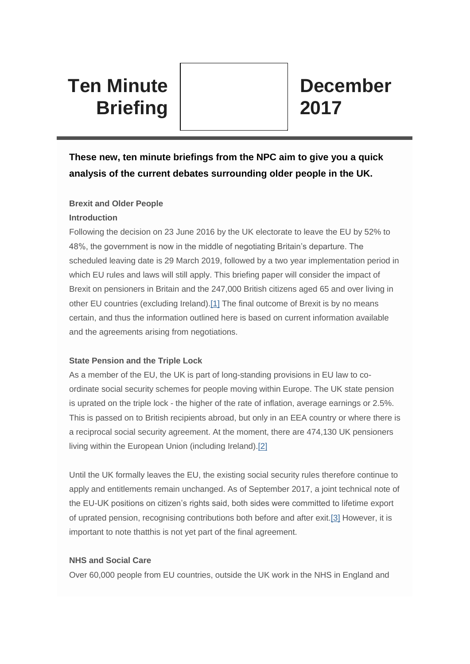# **Ten Minute Briefing**

# **These new, ten minute briefings from the NPC aim to give you a quick analysis of the current debates surrounding older people in the UK.**

# **Brexit and Older People**

#### **Introduction**

Following the decision on 23 June 2016 by the UK electorate to leave the EU by 52% to 48%, the government is now in the middle of negotiating Britain's departure. The scheduled leaving date is 29 March 2019, followed by a two year implementation period in which EU rules and laws will still apply. This briefing paper will consider the impact of Brexit on pensioners in Britain and the 247,000 British citizens aged 65 and over living in other EU countries (excluding Ireland)[.\[1\]](#page-2-0) The final outcome of Brexit is by no means certain, and thus the information outlined here is based on current information available and the agreements arising from negotiations.

## <span id="page-0-0"></span>**State Pension and the Triple Lock**

As a member of the EU, the UK is part of long-standing provisions in EU law to coordinate social security schemes for people moving within Europe. The UK state pension is uprated on the triple lock - the higher of the rate of inflation, average earnings or 2.5%. This is passed on to British recipients abroad, but only in an EEA country or where there is a reciprocal social security agreement. At the moment, there are 474,130 UK pensioners living within the European Union (including Ireland)[.\[2\]](#page-2-1)

<span id="page-0-1"></span>Until the UK formally leaves the EU, the existing social security rules therefore continue to apply and entitlements remain unchanged. As of September 2017, a joint technical note of the EU-UK positions on citizen's rights said, both sides were committed to lifetime export of uprated pension, recognising contributions both before and after exit[.\[3\]](#page-2-2) However, it is important to note thatthis is not yet part of the final agreement.

## <span id="page-0-2"></span>**NHS and Social Care**

Over 60,000 people from EU countries, outside the UK work in the NHS in England and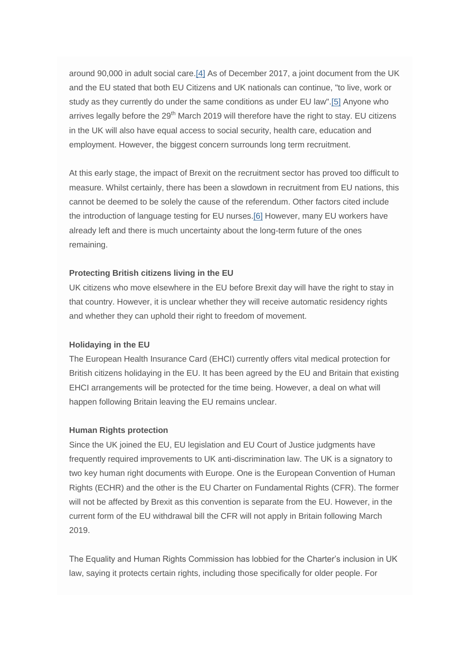<span id="page-1-1"></span><span id="page-1-0"></span>around 90,000 in adult social care[.\[4\]](#page-2-3) As of December 2017, a joint document from the UK and the EU stated that both EU Citizens and UK nationals can continue, "to live, work or study as they currently do under the same conditions as under EU law"[.\[5\]](#page-2-4) Anyone who arrives legally before the  $29<sup>th</sup>$  March 2019 will therefore have the right to stay. EU citizens in the UK will also have equal access to social security, health care, education and employment. However, the biggest concern surrounds long term recruitment.

<span id="page-1-2"></span>At this early stage, the impact of Brexit on the recruitment sector has proved too difficult to measure. Whilst certainly, there has been a slowdown in recruitment from EU nations, this cannot be deemed to be solely the cause of the referendum. Other factors cited include the introduction of language testing for EU nurses[.\[6\]](#page-2-5) However, many EU workers have already left and there is much uncertainty about the long-term future of the ones remaining.

#### **Protecting British citizens living in the EU**

UK citizens who move elsewhere in the EU before Brexit day will have the right to stay in that country. However, it is unclear whether they will receive automatic residency rights and whether they can uphold their right to freedom of movement.

#### **Holidaying in the EU**

The European Health Insurance Card (EHCI) currently offers vital medical protection for British citizens holidaying in the EU. It has been agreed by the EU and Britain that existing EHCI arrangements will be protected for the time being. However, a deal on what will happen following Britain leaving the EU remains unclear.

#### **Human Rights protection**

Since the UK joined the EU, EU legislation and EU Court of Justice judgments have frequently required improvements to UK anti-discrimination law. The UK is a signatory to two key human right documents with Europe. One is the European Convention of Human Rights (ECHR) and the other is the EU Charter on Fundamental Rights (CFR). The former will not be affected by Brexit as this convention is separate from the EU. However, in the current form of the EU withdrawal bill the CFR will not apply in Britain following March 2019.

The Equality and Human Rights Commission has lobbied for the Charter's inclusion in UK law, saying it protects certain rights, including those specifically for older people. For